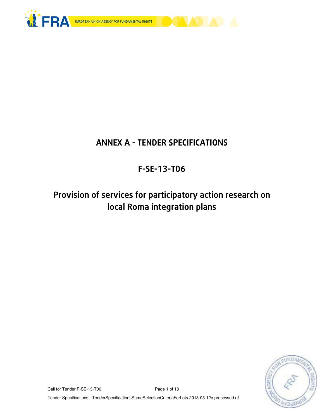

# ANNEX A - TENDER SPECIFICATIONS

# F-SE-13-T06

Provision of services for participatory action research on local Roma integration plans



Call for Tender F-SE-13-T06 Page 1 of 18

Tender Specifications - TenderSpecificationsSameSelectionCriteriaForLots.2013-03-12c-processed.rtf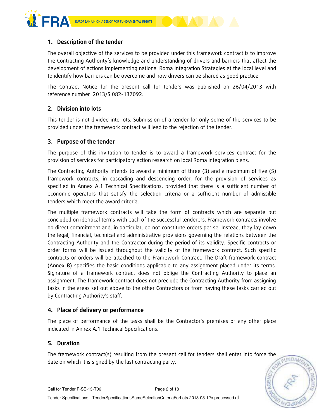



The overall objective of the services to be provided under this framework contract is to improve the Contracting Authority's knowledge and understanding of drivers and barriers that affect the development of actions implementing national Roma Integration Strategies at the local level and to identify how barriers can be overcome and how drivers can be shared as good practice.

The Contract Notice for the present call for tenders was published on 26/04/2013 with reference number 2013/S 082-137092.

# 2. Division into lots

This tender is not divided into lots. Submission of a tender for only some of the services to be provided under the framework contract will lead to the rejection of the tender.

# 3. Purpose of the tender

The purpose of this invitation to tender is to award a framework services contract for the provision of services for participatory action research on local Roma integration plans.

The Contracting Authority intends to award a minimum of three (3) and a maximum of five (5) framework contracts, in cascading and descending order, for the provision of services as specified in Annex A.1 Technical Specifications, provided that there is a sufficient number of economic operators that satisfy the selection criteria or a sufficient number of admissible tenders which meet the award criteria.

The multiple framework contracts will take the form of contracts which are separate but concluded on identical terms with each of the successful tenderers. Framework contracts involve no direct commitment and, in particular, do not constitute orders per se. Instead, they lay down the legal, financial, technical and administrative provisions governing the relations between the Contracting Authority and the Contractor during the period of its validity. Specific contracts or order forms will be issued throughout the validity of the framework contract. Such specific contracts or orders will be attached to the Framework Contract. The Draft framework contract (Annex B) specifies the basic conditions applicable to any assignment placed under its terms. Signature of a framework contract does not oblige the Contracting Authority to place an assignment. The framework contract does not preclude the Contracting Authority from assigning tasks in the areas set out above to the other Contractors or from having these tasks carried out by Contracting Authority's staff.

# 4. Place of delivery or performance

The place of performance of the tasks shall be the Contractor's premises or any other place indicated in Annex A.1 Technical Specifications.

# 5. Duration

The framework contract(s) resulting from the present call for tenders shall enter into force the date on which it is signed by the last contracting party.

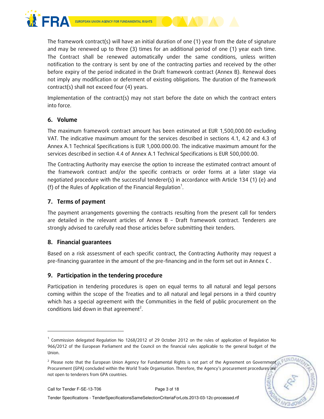

The framework contract(s) will have an initial duration of one (1) year from the date of signature and may be renewed up to three (3) times for an additional period of one (1) year each time. The Contract shall be renewed automatically under the same conditions, unless written notification to the contrary is sent by one of the contracting parties and received by the other before expiry of the period indicated in the Draft framework contract (Annex B). Renewal does not imply any modification or deferment of existing obligations. The duration of the framework contract(s) shall not exceed four (4) years.

Implementation of the contract(s) may not start before the date on which the contract enters into force.

## 6. Volume

The maximum framework contract amount has been estimated at EUR 1,500,000.00 excluding VAT. The indicative maximum amount for the services described in sections 4.1, 4.2 and 4.3 of Annex A.1 Technical Specifications is EUR 1,000.000.00. The indicative maximum amount for the services described in section 4.4 of Annex A.1 Technical Specifications is EUR 500,000.00.

The Contracting Authority may exercise the option to increase the estimated contract amount of the framework contract and/or the specific contracts or order forms at a later stage via negotiated procedure with the successful tenderer(s) in accordance with Article 134 (1) (e) and (f) of the Rules of Application of the Financial Regulation<sup>1</sup>.

## 7. Terms of payment

The payment arrangements governing the contracts resulting from the present call for tenders are detailed in the relevant articles of Annex B – Draft framework contract. Tenderers are strongly advised to carefully read those articles before submitting their tenders.

## 8. Financial guarantees

Based on a risk assessment of each specific contract, the Contracting Authority may request a pre-financing guarantee in the amount of the pre-financing and in the form set out in Annex C .

# 9. Participation in the tendering procedure

Participation in tendering procedures is open on equal terms to all natural and legal persons coming within the scope of the Treaties and to all natural and legal persons in a third country which has a special agreement with the Communities in the field of public procurement on the conditions laid down in that agreement<sup>2</sup>.

-

<sup>&</sup>lt;sup>1</sup> Commission delegated Regulation No 1268/2012 of 29 October 2012 on the rules of application of Regulation No 966/2012 of the European Parliament and the Council on the financial rules applicable to the general budget of the Union.

FUNDA <sup>2</sup> Please note that the European Union Agency for Fundamental Rights is not part of the Agreement on Government Procurement (GPA) concluded within the World Trade Organisation. Therefore, the Agency's procurement procedures are not open to tenderers from GPA countries.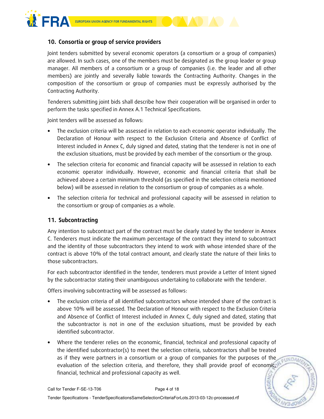

## 10. Consortia or group of service providers

Joint tenders submitted by several economic operators (a consortium or a group of companies) are allowed. In such cases, one of the members must be designated as the group leader or group manager. All members of a consortium or a group of companies (i.e. the leader and all other members) are jointly and severally liable towards the Contracting Authority. Changes in the composition of the consortium or group of companies must be expressly authorised by the Contracting Authority.

Tenderers submitting joint bids shall describe how their cooperation will be organised in order to perform the tasks specified in Annex A.1 Technical Specifications.

Joint tenders will be assessed as follows:

- The exclusion criteria will be assessed in relation to each economic operator individually. The Declaration of Honour with respect to the Exclusion Criteria and Absence of Conflict of Interest included in Annex C, duly signed and dated, stating that the tenderer is not in one of the exclusion situations, must be provided by each member of the consortium or the group.
- The selection criteria for economic and financial capacity will be assessed in relation to each economic operator individually. However, economic and financial criteria that shall be achieved above a certain minimum threshold (as specified in the selection criteria mentioned below) will be assessed in relation to the consortium or group of companies as a whole.
- The selection criteria for technical and professional capacity will be assessed in relation to the consortium or group of companies as a whole.

## 11. Subcontracting

Any intention to subcontract part of the contract must be clearly stated by the tenderer in Annex C. Tenderers must indicate the maximum percentage of the contract they intend to subcontract and the identity of those subcontractors they intend to work with whose intended share of the contract is above 10% of the total contract amount, and clearly state the nature of their links to those subcontractors.

For each subcontractor identified in the tender, tenderers must provide a Letter of Intent signed by the subcontractor stating their unambiguous undertaking to collaborate with the tenderer.

Offers involving subcontracting will be assessed as follows:

- The exclusion criteria of all identified subcontractors whose intended share of the contract is above 10% will be assessed. The Declaration of Honour with respect to the Exclusion Criteria and Absence of Conflict of Interest included in Annex C, duly signed and dated, stating that the subcontractor is not in one of the exclusion situations, must be provided by each identified subcontractor.
- Where the tenderer relies on the economic, financial, technical and professional capacity of the identified subcontractor(s) to meet the selection criteria, subcontractors shall be treated as if they were partners in a consortium or a group of companies for the purposes of the EUNDAN evaluation of the selection criteria, and therefore, they shall provide proof of economic, financial, technical and professional capacity as well.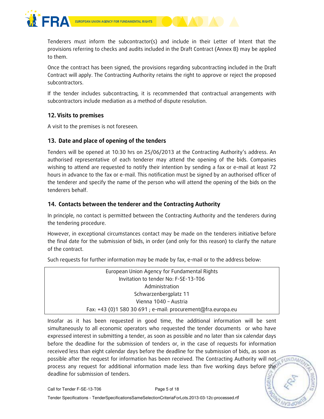

Tenderers must inform the subcontractor(s) and include in their Letter of Intent that the provisions referring to checks and audits included in the Draft Contract (Annex B) may be applied to them.

Once the contract has been signed, the provisions regarding subcontracting included in the Draft Contract will apply. The Contracting Authority retains the right to approve or reject the proposed subcontractors.

If the tender includes subcontracting, it is recommended that contractual arrangements with subcontractors include mediation as a method of dispute resolution.

# 12. Visits to premises

A visit to the premises is not foreseen.

## 13. Date and place of opening of the tenders

Tenders will be opened at 10:30 hrs on 25/06/2013 at the Contracting Authority's address. An authorised representative of each tenderer may attend the opening of the bids. Companies wishing to attend are requested to notify their intention by sending a fax or e-mail at least 72 hours in advance to the fax or e-mail. This notification must be signed by an authorised officer of the tenderer and specify the name of the person who will attend the opening of the bids on the tenderers behalf.

# 14. Contacts between the tenderer and the Contracting Authority

In principle, no contact is permitted between the Contracting Authority and the tenderers during the tendering procedure.

However, in exceptional circumstances contact may be made on the tenderers initiative before the final date for the submission of bids, in order (and only for this reason) to clarify the nature of the contract.

Such requests for further information may be made by fax, e-mail or to the address below:

| European Union Agency for Fundamental Rights                 |
|--------------------------------------------------------------|
|                                                              |
| Invitation to tender No: F-SE-13-T06                         |
| Administration                                               |
| Schwarzenbergplatz 11                                        |
| Vienna 1040 - Austria                                        |
| Fax: +43 (0)1 580 30 691 ; e-mail: procurement@fra.europa.eu |

Insofar as it has been requested in good time, the additional information will be sent simultaneously to all economic operators who requested the tender documents or who have expressed interest in submitting a tender, as soon as possible and no later than six calendar days before the deadline for the submission of tenders or, in the case of requests for information received less than eight calendar days before the deadline for the submission of bids, as soon as possible after the request for information has been received. The Contracting Authority will not process any request for additional information made less than five working days before the deadline for submission of tenders.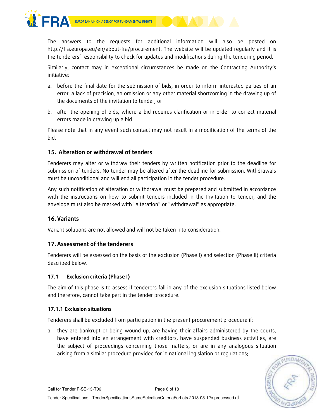

The answers to the requests for additional information will also be posted on http://fra.europa.eu/en/about-fra/procurement. The website will be updated regularly and it is the tenderers' responsibility to check for updates and modifications during the tendering period.

Similarly, contact may in exceptional circumstances be made on the Contracting Authority's initiative:

- a. before the final date for the submission of bids, in order to inform interested parties of an error, a lack of precision, an omission or any other material shortcoming in the drawing up of the documents of the invitation to tender; or
- b. after the opening of bids, where a bid requires clarification or in order to correct material errors made in drawing up a bid.

Please note that in any event such contact may not result in a modification of the terms of the bid.

# 15. Alteration or withdrawal of tenders

Tenderers may alter or withdraw their tenders by written notification prior to the deadline for submission of tenders. No tender may be altered after the deadline for submission. Withdrawals must be unconditional and will end all participation in the tender procedure.

Any such notification of alteration or withdrawal must be prepared and submitted in accordance with the instructions on how to submit tenders included in the Invitation to tender, and the envelope must also be marked with "alteration" or "withdrawal" as appropriate.

# 16. Variants

Variant solutions are not allowed and will not be taken into consideration.

## 17.Assessment of the tenderers

Tenderers will be assessed on the basis of the exclusion (Phase I) and selection (Phase II) criteria described below.

## 17.1 Exclusion criteria (Phase I)

The aim of this phase is to assess if tenderers fall in any of the exclusion situations listed below and therefore, cannot take part in the tender procedure.

#### 17.1.1 Exclusion situations

Tenderers shall be excluded from participation in the present procurement procedure if:

a. they are bankrupt or being wound up, are having their affairs administered by the courts, have entered into an arrangement with creditors, have suspended business activities, are the subject of proceedings concerning those matters, or are in any analogous situation arising from a similar procedure provided for in national legislation or regulations;

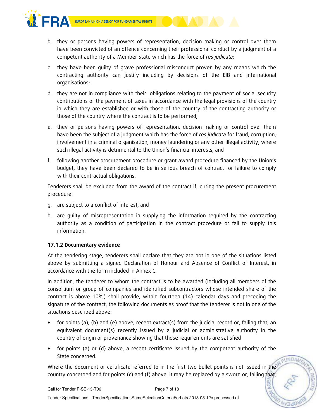

- b. they or persons having powers of representation, decision making or control over them have been convicted of an offence concerning their professional conduct by a judgment of a competent authority of a Member State which has the force of res judicata;
- c. they have been guilty of grave professional misconduct proven by any means which the contracting authority can justify including by decisions of the EIB and international organisations;
- d. they are not in compliance with their obligations relating to the payment of social security contributions or the payment of taxes in accordance with the legal provisions of the country in which they are established or with those of the country of the contracting authority or those of the country where the contract is to be performed;
- e. they or persons having powers of representation, decision making or control over them have been the subject of a judgment which has the force of res judicata for fraud, corruption, involvement in a criminal organisation, money laundering or any other illegal activity, where such illegal activity is detrimental to the Union's financial interests, and
- f. following another procurement procedure or grant award procedure financed by the Union's budget, they have been declared to be in serious breach of contract for failure to comply with their contractual obligations.

Tenderers shall be excluded from the award of the contract if, during the present procurement procedure:

- g. are subject to a conflict of interest, and
- h. are guilty of misrepresentation in supplying the information required by the contracting authority as a condition of participation in the contract procedure or fail to supply this information.

## 17.1.2 Documentary evidence

At the tendering stage, tenderers shall declare that they are not in one of the situations listed above by submitting a signed Declaration of Honour and Absence of Conflict of Interest, in accordance with the form included in Annex C.

In addition, the tenderer to whom the contract is to be awarded (including all members of the consortium or group of companies and identified subcontractors whose intended share of the contract is above 10%) shall provide, within fourteen (14) calendar days and preceding the signature of the contract, the following documents as proof that the tenderer is not in one of the situations described above:

- for points (a), (b) and (e) above, recent extract(s) from the judicial record or, failing that, an equivalent document(s) recently issued by a judicial or administrative authority in the country of origin or provenance showing that those requirements are satisfied
- for points (a) or (d) above, a recent certificate issued by the competent authority of the State concerned.

Where the document or certificate referred to in the first two bullet points is not issued in the country concerned and for points (c) and (f) above, it may be replaced by a sworn or, failing that,

FUNDA

Tender Specifications - TenderSpecificationsSameSelectionCriteriaForLots.2013-03-12c-processed.rtf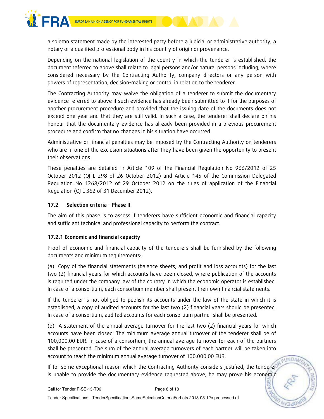

a solemn statement made by the interested party before a judicial or administrative authority, a notary or a qualified professional body in his country of origin or provenance.

Depending on the national legislation of the country in which the tenderer is established, the document referred to above shall relate to legal persons and/or natural persons including, where considered necessary by the Contracting Authority, company directors or any person with powers of representation, decision-making or control in relation to the tenderer.

The Contracting Authority may waive the obligation of a tenderer to submit the documentary evidence referred to above if such evidence has already been submitted to it for the purposes of another procurement procedure and provided that the issuing date of the documents does not exceed one year and that they are still valid. In such a case, the tenderer shall declare on his honour that the documentary evidence has already been provided in a previous procurement procedure and confirm that no changes in his situation have occurred.

Administrative or financial penalties may be imposed by the Contracting Authority on tenderers who are in one of the exclusion situations after they have been given the opportunity to present their observations.

These penalties are detailed in Article 109 of the Financial Regulation No 966/2012 of 25 October 2012 (OJ L 298 of 26 October 2012) and Article 145 of the Commission Delegated Regulation No 1268/2012 of 29 October 2012 on the rules of application of the Financial Regulation (OJ L 362 of 31 December 2012).

## 17.2 Selection criteria – Phase II

The aim of this phase is to assess if tenderers have sufficient economic and financial capacity and sufficient technical and professional capacity to perform the contract.

## 17.2.1 Economic and financial capacity

Proof of economic and financial capacity of the tenderers shall be furnished by the following documents and minimum requirements:

(a) Copy of the financial statements (balance sheets, and profit and loss accounts) for the last two (2) financial years for which accounts have been closed, where publication of the accounts is required under the company law of the country in which the economic operator is established. In case of a consortium, each consortium member shall present their own financial statements.

If the tenderer is not obliged to publish its accounts under the law of the state in which it is established, a copy of audited accounts for the last two (2) financial years should be presented. In case of a consortium, audited accounts for each consortium partner shall be presented.

(b) A statement of the annual average turnover for the last two (2) financial years for which accounts have been closed. The minimum average annual turnover of the tenderer shall be of 100,000.00 EUR. In case of a consortium, the annual average turnover for each of the partners shall be presented. The sum of the annual average turnovers of each partner will be taken into account to reach the minimum annual average turnover of 100,000.00 EUR.

If for some exceptional reason which the Contracting Authority considers justified, the tenderer is unable to provide the documentary evidence requested above, he may prove his economic

FUNDA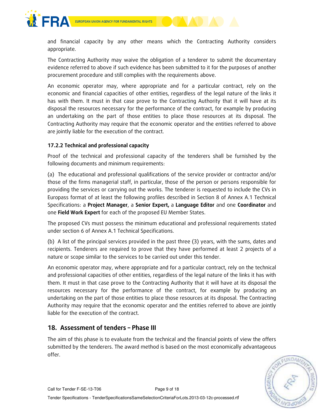

and financial capacity by any other means which the Contracting Authority considers appropriate.

The Contracting Authority may waive the obligation of a tenderer to submit the documentary evidence referred to above if such evidence has been submitted to it for the purposes of another procurement procedure and still complies with the requirements above.

An economic operator may, where appropriate and for a particular contract, rely on the economic and financial capacities of other entities, regardless of the legal nature of the links it has with them. It must in that case prove to the Contracting Authority that it will have at its disposal the resources necessary for the performance of the contract, for example by producing an undertaking on the part of those entities to place those resources at its disposal. The Contracting Authority may require that the economic operator and the entities referred to above are jointly liable for the execution of the contract.

#### 17.2.2 Technical and professional capacity

Proof of the technical and professional capacity of the tenderers shall be furnished by the following documents and minimum requirements:

(a) The educational and professional qualifications of the service provider or contractor and/or those of the firms managerial staff, in particular, those of the person or persons responsible for providing the services or carrying out the works. The tenderer is requested to include the CVs in Europass format of at least the following profiles described in Section 8 of Annex A.1 Technical Specifications: a Project Manager, a Senior Expert, a Language Editor and one Coordinator and one Field Work Expert for each of the proposed EU Member States.

The proposed CVs must possess the minimum educational and professional requirements stated under section 6 of Annex A.1 Technical Specifications.

(b) A list of the principal services provided in the past three (3) years, with the sums, dates and recipients. Tenderers are required to prove that they have performed at least 2 projects of a nature or scope similar to the services to be carried out under this tender.

An economic operator may, where appropriate and for a particular contract, rely on the technical and professional capacities of other entities, regardless of the legal nature of the links it has with them. It must in that case prove to the Contracting Authority that it will have at its disposal the resources necessary for the performance of the contract, for example by producing an undertaking on the part of those entities to place those resources at its disposal. The Contracting Authority may require that the economic operator and the entities referred to above are jointly liable for the execution of the contract.

# 18. Assessment of tenders – Phase III

The aim of this phase is to evaluate from the technical and the financial points of view the offers submitted by the tenderers. The award method is based on the most economically advantageous offer.

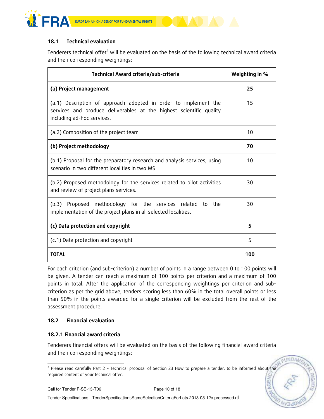

## 18.1 Technical evaluation

Tenderers technical offer<sup>3</sup> will be evaluated on the basis of the following technical award criteria and their corresponding weightings:

| Technical Award criteria/sub-criteria                                                                                                                                | Weighting in % |
|----------------------------------------------------------------------------------------------------------------------------------------------------------------------|----------------|
| (a) Project management                                                                                                                                               | 25             |
| (a.1) Description of approach adopted in order to implement the<br>services and produce deliverables at the highest scientific quality<br>including ad-hoc services. | 15             |
| (a.2) Composition of the project team                                                                                                                                | 10             |
| (b) Project methodology                                                                                                                                              | 70             |
| (b.1) Proposal for the preparatory research and analysis services, using<br>scenario in two different localities in two MS                                           | 10             |
| (b.2) Proposed methodology for the services related to pilot activities<br>and review of project plans services.                                                     | 30             |
| Proposed methodology for the services related to the<br>(b.3)<br>implementation of the project plans in all selected localities.                                     | 30             |
| (c) Data protection and copyright                                                                                                                                    | 5              |
| (c.1) Data protection and copyright                                                                                                                                  | 5              |
| <b>TOTAL</b>                                                                                                                                                         | 100            |

For each criterion (and sub-criterion) a number of points in a range between 0 to 100 points will be given. A tender can reach a maximum of 100 points per criterion and a maximum of 100 points in total. After the application of the corresponding weightings per criterion and subcriterion as per the grid above, tenders scoring less than 60% in the total overall points or less than 50% in the points awarded for a single criterion will be excluded from the rest of the assessment procedure.

#### 18.2 Financial evaluation

#### 18.2.1 Financial award criteria

Tenderers financial offers will be evaluated on the basis of the following financial award criteria and their corresponding weightings:

**FUNDA** 

 3 Please read carefully Part 2 – Technical proposal of Section 23 How to prepare a tender, to be informed about the required content of your technical offer.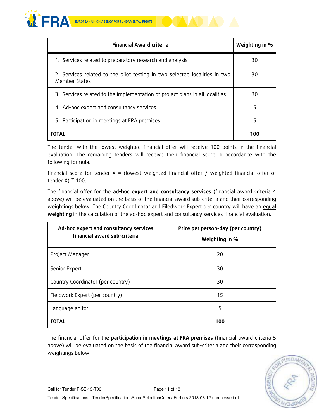



The tender with the lowest weighted financial offer will receive 100 points in the financial evaluation. The remaining tenders will receive their financial score in accordance with the following formula:

financial score for tender  $X =$  (lowest weighted financial offer / weighted financial offer of tender X $)$  \* 100.

The financial offer for the ad-hoc expert and consultancy services (financial award criteria 4 above) will be evaluated on the basis of the financial award sub-criteria and their corresponding weightings below. The Country Coordinator and Filedwork Expert per country will have an **equal** weighting in the calculation of the ad-hoc expert and consultancy services financial evaluation.

| Ad-hoc expert and consultancy services<br>financial award sub-criteria | Price per person-day (per country)<br>Weighting in % |
|------------------------------------------------------------------------|------------------------------------------------------|
| Project Manager                                                        | 20                                                   |
| Senior Expert                                                          | 30                                                   |
| Country Coordinator (per country)                                      | 30                                                   |
| Fieldwork Expert (per country)                                         | 15                                                   |
| Language editor                                                        | 5                                                    |
| <b>TOTAL</b>                                                           | 100                                                  |

The financial offer for the participation in meetings at FRA premises (financial award criteria 5 above) will be evaluated on the basis of the financial award sub-criteria and their corresponding weightings below:

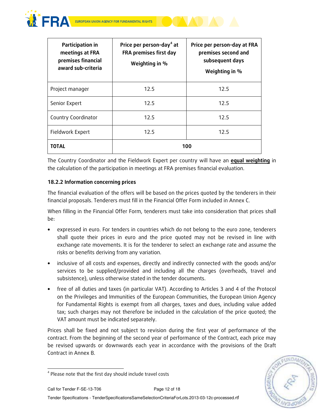



| Participation in<br>meetings at FRA<br>premises financial<br>award sub-criteria | Price per person-day <sup>4</sup> at<br>FRA premises first day<br>Weighting in % | Price per person-day at FRA<br>premises second and<br>subsequent days<br>Weighting in % |
|---------------------------------------------------------------------------------|----------------------------------------------------------------------------------|-----------------------------------------------------------------------------------------|
| Project manager                                                                 | 12.5                                                                             | 12.5                                                                                    |
| Senior Expert                                                                   | 12.5                                                                             | 12.5                                                                                    |
| Country Coordinator                                                             | 12.5                                                                             | 12.5                                                                                    |
| Fieldwork Expert                                                                | 12.5                                                                             | 12.5                                                                                    |
| ΤΟΤΑL                                                                           | 100                                                                              |                                                                                         |

The Country Coordinator and the Fieldwork Expert per country will have an **equal weighting** in the calculation of the participation in meetings at FRA premises financial evaluation.

## 18.2.2 Information concerning prices

The financial evaluation of the offers will be based on the prices quoted by the tenderers in their financial proposals. Tenderers must fill in the Financial Offer Form included in Annex C.

When filling in the Financial Offer Form, tenderers must take into consideration that prices shall be:

- expressed in euro. For tenders in countries which do not belong to the euro zone, tenderers shall quote their prices in euro and the price quoted may not be revised in line with exchange rate movements. It is for the tenderer to select an exchange rate and assume the risks or benefits deriving from any variation.
- inclusive of all costs and expenses, directly and indirectly connected with the goods and/or services to be supplied/provided and including all the charges (overheads, travel and subsistence), unless otherwise stated in the tender documents.
- free of all duties and taxes (in particular VAT). According to Articles 3 and 4 of the Protocol on the Privileges and Immunities of the European Communities, the European Union Agency for Fundamental Rights is exempt from all charges, taxes and dues, including value added tax; such charges may not therefore be included in the calculation of the price quoted; the VAT amount must be indicated separately.

Prices shall be fixed and not subject to revision during the first year of performance of the contract. From the beginning of the second year of performance of the Contract, each price may be revised upwards or downwards each year in accordance with the provisions of the Draft Contract in Annex B.



l <sup>4</sup> Please note that the first day should include travel costs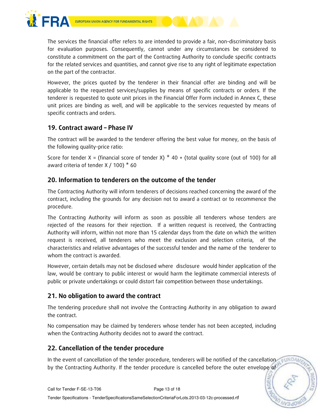



However, the prices quoted by the tenderer in their financial offer are binding and will be applicable to the requested services/supplies by means of specific contracts or orders. If the tenderer is requested to quote unit prices in the Financial Offer Form included in Annex C, these unit prices are binding as well, and will be applicable to the services requested by means of specific contracts and orders.

# 19. Contract award – Phase IV

The contract will be awarded to the tenderer offering the best value for money, on the basis of the following quality-price ratio:

Score for tender X = (financial score of tender X)  $*$  40 + (total quality score (out of 100) for all award criteria of tender X  $/$  100)  $*$  60

# 20. Information to tenderers on the outcome of the tender

The Contracting Authority will inform tenderers of decisions reached concerning the award of the contract, including the grounds for any decision not to award a contract or to recommence the procedure.

The Contracting Authority will inform as soon as possible all tenderers whose tenders are rejected of the reasons for their rejection. If a written request is received, the Contracting Authority will inform, within not more than 15 calendar days from the date on which the written request is received, all tenderers who meet the exclusion and selection criteria, of the characteristics and relative advantages of the successful tender and the name of the tenderer to whom the contract is awarded.

However, certain details may not be disclosed where disclosure would hinder application of the law, would be contrary to public interest or would harm the legitimate commercial interests of public or private undertakings or could distort fair competition between those undertakings.

# 21. No obligation to award the contract

The tendering procedure shall not involve the Contracting Authority in any obligation to award the contract.

No compensation may be claimed by tenderers whose tender has not been accepted, including when the Contracting Authority decides not to award the contract.

# 22. Cancellation of the tender procedure

In the event of cancellation of the tender procedure, tenderers will be notified of the cancellation by the Contracting Authority. If the tender procedure is cancelled before the outer envelope of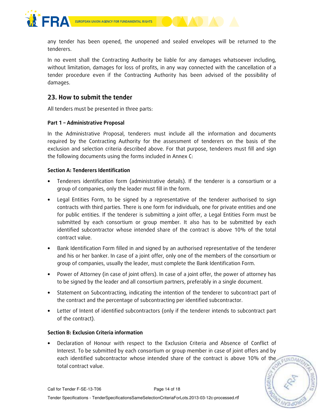

any tender has been opened, the unopened and sealed envelopes will be returned to the tenderers.

In no event shall the Contracting Authority be liable for any damages whatsoever including, without limitation, damages for loss of profits, in any way connected with the cancellation of a tender procedure even if the Contracting Authority has been advised of the possibility of damages.

# 23. How to submit the tender

All tenders must be presented in three parts:

#### Part 1 – Administrative Proposal

In the Administrative Proposal, tenderers must include all the information and documents required by the Contracting Authority for the assessment of tenderers on the basis of the exclusion and selection criteria described above. For that purpose, tenderers must fill and sign the following documents using the forms included in Annex C:

#### Section A: Tenderers Identification

- Tenderers identification form (administrative details). If the tenderer is a consortium or a group of companies, only the leader must fill in the form.
- Legal Entities Form, to be signed by a representative of the tenderer authorised to sign contracts with third parties. There is one form for individuals, one for private entities and one for public entities. If the tenderer is submitting a joint offer, a Legal Entities Form must be submitted by each consortium or group member. It also has to be submitted by each identified subcontractor whose intended share of the contract is above 10% of the total contract value.
- Bank Identification Form filled in and signed by an authorised representative of the tenderer and his or her banker. In case of a joint offer, only one of the members of the consortium or group of companies, usually the leader, must complete the Bank Identification Form.
- Power of Attorney (in case of joint offers). In case of a joint offer, the power of attorney has to be signed by the leader and all consortium partners, preferably in a single document.
- Statement on Subcontracting, indicating the intention of the tenderer to subcontract part of the contract and the percentage of subcontracting per identified subcontractor.
- Letter of Intent of identified subcontractors (only if the tenderer intends to subcontract part of the contract).

#### Section B: Exclusion Criteria information

• Declaration of Honour with respect to the Exclusion Criteria and Absence of Conflict of Interest. To be submitted by each consortium or group member in case of joint offers and by each identified subcontractor whose intended share of the contract is above 10% of the total contract value.

EUNDA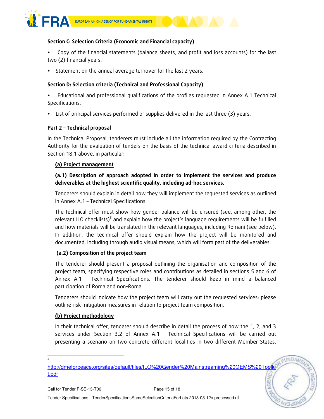

#### Section C: Selection Criteria (Economic and Financial capacity)

 Copy of the financial statements (balance sheets, and profit and loss accounts) for the last two (2) financial years.

Statement on the annual average turnover for the last 2 years.

### Section D: Selection criteria (Technical and Professional Capacity)

 Educational and professional qualifications of the profiles requested in Annex A.1 Technical Specifications.

List of principal services performed or supplies delivered in the last three (3) years.

#### Part 2 – Technical proposal

In the Technical Proposal, tenderers must include all the information required by the Contracting Authority for the evaluation of tenders on the basis of the technical award criteria described in Section 18.1 above, in particular:

#### (a) Project management

(a.1) Description of approach adopted in order to implement the services and produce deliverables at the highest scientific quality, including ad-hoc services.

Tenderers should explain in detail how they will implement the requested services as outlined in Annex A.1 – Technical Specifications.

The technical offer must show how gender balance will be ensured (see, among other, the relevant ILO checklists)<sup>5</sup> and explain how the project's language requirements will be fulfilled and how materials will be translated in the relevant languages, including Romani (see below). In addition, the technical offer should explain how the project will be monitored and documented, including through audio visual means, which will form part of the deliverables.

## (a.2) Composition of the project team

The tenderer should present a proposal outlining the organisation and composition of the project team, specifying respective roles and contributions as detailed in sections 5 and 6 of Annex A.1 – Technical Specifications. The tenderer should keep in mind a balanced participation of Roma and non-Roma.

Tenderers should indicate how the project team will carry out the requested services; please outline risk mitigation measures in relation to project team composition.

#### (b) Project methodology

In their technical offer, tenderer should describe in detail the process of how the 1, 2, and 3 services under Section 3.2 of Annex A.1 – Technical Specifications will be carried out presenting a scenario on two concrete different localities in two different Member States.

EUNDA)

 $\overline{a}$ 5

http://dmeforpeace.org/sites/default/files/ILO%20Gender%20Mainstreaming%20GEMS%20Toolki t.pdf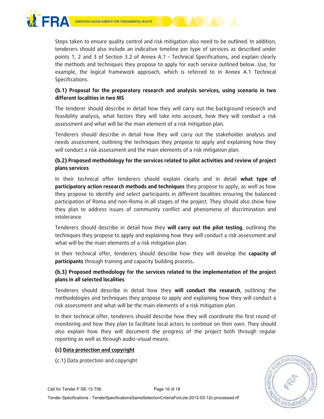

Steps taken to ensure quality control and risk mitigation also need to be outlined. In addition, tenderers should also include an indicative timeline per type of services as described under points 1, 2 and 3 of Section 3.2 of Annex A.1 – Technical Specifications, and explain clearly the methods and techniques they propose to apply for each service outlined below. Use, for example, the logical framework approach, which is referred to in Annex A.1 Technical Specifications.

## (b.1) Proposal for the preparatory research and analysis services, using scenario in two different localities in two MS

The tenderer should describe in detail how they will carry out the background research and feasibility analysis, what factors they will take into account, how they will conduct a risk assessment and what will be the main element of a risk mitigation plan.

Tenderers should describe in detail how they will carry out the stakeholder analysis and needs assessment, outlining the techniques they propose to apply and explaining how they will conduct a risk assessment and the main elements of a risk mitigation plan.

# (b.2) Proposed methodology for the services related to pilot activities and review of project plans services

In their technical offer tenderers should explain clearly and in detail what type of participatory action research methods and techniques they propose to apply, as well as how they propose to identify and select participants in different localities ensuring the balanced participation of Roma and non-Roma in all stages of the project. They should also show how they plan to address issues of community conflict and phenomena of discrimination and intolerance.

Tenderers should describe in detail how they will carry out the pilot testing, outlining the techniques they propose to apply and explaining how they will conduct a risk assessment and what will be the main elements of a risk mitigation plan.

In their technical offer, tenderers should describe how they will develop the capacity of participants through training and capacity building process.

## (b.3) Proposed methodology for the services related to the implementation of the project plans in all selected localities

Tenderers should describe in detail how they will conduct the research, outlining the methodologies and techniques they propose to apply and explaining how they will conduct a risk assessment and what will be the main elements of a risk mitigation plan.

In their technical offer, tenderers should describe how they will coordinate the first round of monitoring and how they plan to facilitate local actors to continue on their own. They should also explain how they will document the progress of the project both through regular reporting as well as through audio-visual means.

#### (c) Data protection and copyright

(c.1) Data protection and copyright

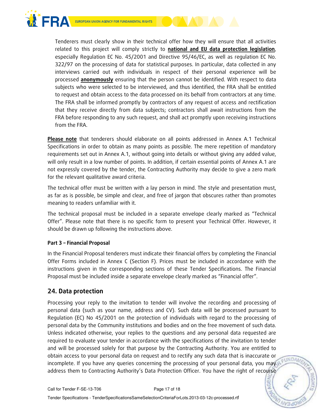

Tenderers must clearly show in their technical offer how they will ensure that all activities related to this project will comply strictly to national and EU data protection legislation, especially Regulation EC No. 45/2001 and Directive 95/46/EC, as well as regulation EC No. 322/97 on the processing of data for statistical purposes. In particular, data collected in any interviews carried out with individuals in respect of their personal experience will be processed **anonymously** ensuring that the person cannot be identified. With respect to data subjects who were selected to be interviewed, and thus identified, the FRA shall be entitled to request and obtain access to the data processed on its behalf from contractors at any time. The FRA shall be informed promptly by contractors of any request of access and rectification that they receive directly from data subjects; contractors shall await instructions from the FRA before responding to any such request, and shall act promptly upon receiving instructions from the FRA.

Please note that tenderers should elaborate on all points addressed in Annex A.1 Technical Specifications in order to obtain as many points as possible. The mere repetition of mandatory requirements set out in Annex A.1, without going into details or without giving any added value, will only result in a low number of points. In addition, if certain essential points of Annex A.1 are not expressly covered by the tender, the Contracting Authority may decide to give a zero mark for the relevant qualitative award criteria.

The technical offer must be written with a lay person in mind. The style and presentation must, as far as is possible, be simple and clear, and free of jargon that obscures rather than promotes meaning to readers unfamiliar with it.

The technical proposal must be included in a separate envelope clearly marked as "Technical Offer". Please note that there is no specific form to present your Technical Offer. However, it should be drawn up following the instructions above.

## Part 3 – Financial Proposal

In the Financial Proposal tenderers must indicate their financial offers by completing the Financial Offer Forms included in Annex C (Section F). Prices must be included in accordance with the instructions given in the corresponding sections of these Tender Specifications. The Financial Proposal must be included inside a separate envelope clearly marked as "Financial offer".

# 24. Data protection

Processing your reply to the invitation to tender will involve the recording and processing of personal data (such as your name, address and CV). Such data will be processed pursuant to Regulation (EC) No 45/2001 on the protection of individuals with regard to the processing of personal data by the Community institutions and bodies and on the free movement of such data. Unless indicated otherwise, your replies to the questions and any personal data requested are required to evaluate your tender in accordance with the specifications of the invitation to tender and will be processed solely for that purpose by the Contracting Authority. You are entitled to obtain access to your personal data on request and to rectify any such data that is inaccurate or incomplete. If you have any queries concerning the processing of your personal data, you may address them to Contracting Authority's Data Protection Officer. You have the right of recourse

EUNDAN

**AGE**